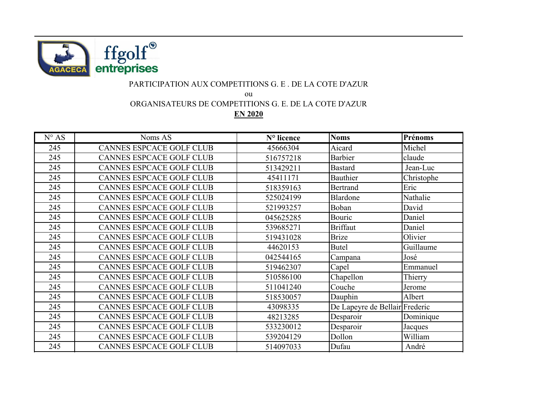

## PARTICIPATION AUX COMPETITIONS G. E . DE LA COTE D'AZUR

ou

ORGANISATEURS DE COMPETITIONS G. E. DE LA COTE D'AZUR

**EN 2020**

| $N^{\circ} AS$ | Noms AS                         | N° licence | <b>Noms</b>                    | Prénoms    |
|----------------|---------------------------------|------------|--------------------------------|------------|
| 245            | <b>CANNES ESPCACE GOLF CLUB</b> | 45666304   | Aicard                         | Michel     |
| 245            | CANNES ESPCACE GOLF CLUB        | 516757218  | <b>Barbier</b>                 | claude     |
| 245            | <b>CANNES ESPCACE GOLF CLUB</b> | 513429211  | <b>Bastard</b>                 | Jean-Luc   |
| 245            | <b>CANNES ESPCACE GOLF CLUB</b> | 45411171   | Bauthier                       | Christophe |
| 245            | CANNES ESPCACE GOLF CLUB        | 518359163  | Bertrand                       | Eric       |
| 245            | <b>CANNES ESPCACE GOLF CLUB</b> | 525024199  | Blardone                       | Nathalie   |
| 245            | <b>CANNES ESPCACE GOLF CLUB</b> | 521993257  | Boban                          | David      |
| 245            | <b>CANNES ESPCACE GOLF CLUB</b> | 045625285  | Bouric                         | Daniel     |
| 245            | <b>CANNES ESPCACE GOLF CLUB</b> | 539685271  | <b>Briffaut</b>                | Daniel     |
| 245            | <b>CANNES ESPCACE GOLF CLUB</b> | 519431028  | <b>Brize</b>                   | Olivier    |
| 245            | <b>CANNES ESPCACE GOLF CLUB</b> | 44620153   | <b>Butel</b>                   | Guillaume  |
| 245            | <b>CANNES ESPCACE GOLF CLUB</b> | 042544165  | Campana                        | José       |
| 245            | <b>CANNES ESPCACE GOLF CLUB</b> | 519462307  | Capel                          | Emmanuel   |
| 245            | <b>CANNES ESPCACE GOLF CLUB</b> | 510586100  | Chapellon                      | Thierry    |
| 245            | <b>CANNES ESPCACE GOLF CLUB</b> | 511041240  | Couche                         | Jerome     |
| 245            | <b>CANNES ESPCACE GOLF CLUB</b> | 518530057  | Dauphin                        | Albert     |
| 245            | <b>CANNES ESPCACE GOLF CLUB</b> | 43098335   | De Lapeyre de Bellair Frederic |            |
| 245            | CANNES ESPCACE GOLF CLUB        | 48213285   | Desparoir                      | Dominique  |
| 245            | <b>CANNES ESPCACE GOLF CLUB</b> | 533230012  | Desparoir                      | Jacques    |
| 245            | <b>CANNES ESPCACE GOLF CLUB</b> | 539204129  | Dollon                         | William    |
| 245            | <b>CANNES ESPCACE GOLF CLUB</b> | 514097033  | Dufau                          | André      |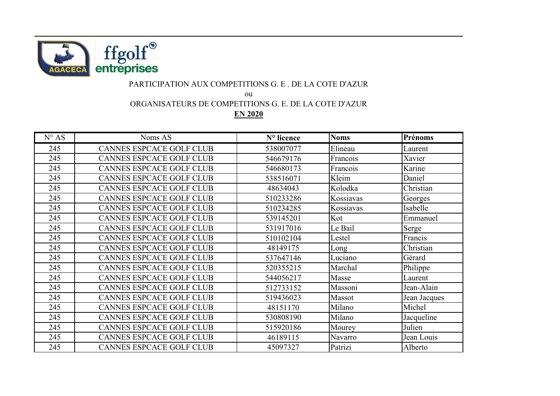

## PARTICIPATION AUX COMPETITIONS G. E . DE LA COTE D'AZUR

ou

ORGANISATEURS DE COMPETITIONS G. E. DE LA COTE D'AZUR

**EN 2020**

| $N^{\circ} AS$ | Noms AS                         | N° licence | <b>Noms</b> | Prénoms      |
|----------------|---------------------------------|------------|-------------|--------------|
| 245            | <b>CANNES ESPCACE GOLF CLUB</b> | 538007077  | Elineau     | Laurent      |
| 245            | CANNES ESPCACE GOLF CLUB        | 546679176  | Francois    | Xavier       |
| 245            | <b>CANNES ESPCACE GOLF CLUB</b> | 546680173  | Francois    | Karine       |
| 245            | <b>CANNES ESPCACE GOLF CLUB</b> | 538516071  | Kleim       | Daniel       |
| 245            | CANNES ESPCACE GOLF CLUB        | 48634043   | Kolodka     | Christian    |
| 245            | CANNES ESPCACE GOLF CLUB        | 510233286  | Kossiavas   | Georges      |
| 245            | CANNES ESPCACE GOLF CLUB        | 510234285  | Kossiavas   | Isabelle     |
| 245            | CANNES ESPCACE GOLF CLUB        | 539145201  | Kot         | Emmanuel     |
| 245            | CANNES ESPCACE GOLF CLUB        | 531917016  | Le Bail     | Serge        |
| 245            | CANNES ESPCACE GOLF CLUB        | 510102104  | Lestel      | Francis      |
| 245            | <b>CANNES ESPCACE GOLF CLUB</b> | 48149175   | Long        | Christian    |
| 245            | CANNES ESPCACE GOLF CLUB        | 537647146  | Luciano     | Gérard       |
| 245            | CANNES ESPCACE GOLF CLUB        | 520355215  | Marchal     | Philippe     |
| 245            | <b>CANNES ESPCACE GOLF CLUB</b> | 544056217  | Masse       | Laurent      |
| 245            | CANNES ESPCACE GOLF CLUB        | 512733152  | Massoni     | Jean-Alain   |
| 245            | CANNES ESPCACE GOLF CLUB        | 519436023  | Massot      | Jean Jacques |
| 245            | <b>CANNES ESPCACE GOLF CLUB</b> | 48151170   | Milano      | Michel       |
| 245            | <b>CANNES ESPCACE GOLF CLUB</b> | 530808190  | Milano      | Jacqueline   |
| 245            | CANNES ESPCACE GOLF CLUB        | 515920186  | Mourey      | Julien       |
| 245            | CANNES ESPCACE GOLF CLUB        | 46189115   | Navarro     | Jean Louis   |
| 245            | CANNES ESPCACE GOLF CLUB        | 45097327   | Patrizi     | Alberto      |